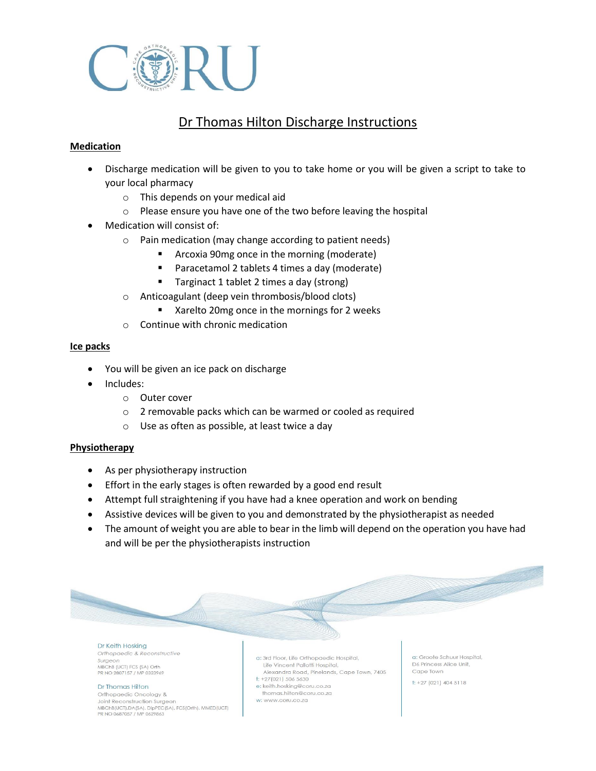

# Dr Thomas Hilton Discharge Instructions

# **Medication**

- Discharge medication will be given to you to take home or you will be given a script to take to your local pharmacy
	- o This depends on your medical aid
	- o Please ensure you have one of the two before leaving the hospital
- Medication will consist of:
	- o Pain medication (may change according to patient needs)
		- Arcoxia 90mg once in the morning (moderate)
		- Paracetamol 2 tablets 4 times a day (moderate)
		- Targinact 1 tablet 2 times a day (strong)
	- o Anticoagulant (deep vein thrombosis/blood clots)
		- Xarelto 20mg once in the mornings for 2 weeks
	- $\circ$  Continue with chronic medication

## **Ice packs**

- You will be given an ice pack on discharge
- Includes:
	- o Outer cover
	- o 2 removable packs which can be warmed or cooled as required
	- o Use as often as possible, at least twice a day

## **Physiotherapy**

- As per physiotherapy instruction
- Effort in the early stages is often rewarded by a good end result
- Attempt full straightening if you have had a knee operation and work on bending
- Assistive devices will be given to you and demonstrated by the physiotherapist as needed
- The amount of weight you are able to bear in the limb will depend on the operation you have had and will be per the physiotherapists instruction



Orthopaedic & Reconstructive Surgeon MBChB (UCT) FCS (SA) Orth PR NO 2807157 / MP 0323969

#### Dr Thomas Hilton

Orthopaedic Oncology & Joint Reconstruction Surgeon MBChB(UCT),DA(SA), DipPEC(SA), FCS(Orth), MMED(UCT) PR NO 0687057 / MP 0629863

a: 3rd Floor, Life Orthopaedic Hospital, Life Vincent Pallotti Hospital, Alexandra Road, Pinelands, Cape Town, 7405

 $t: +27(021) 506 5630$ 

e: keith.hosking@coru.co.za thomas.hilton@coru.co.za

w: www.coru.co.za

a: Groote Schuur Hospital D6 Princess Alice Unit. Cape Town

 $t: +27(021)4045118$